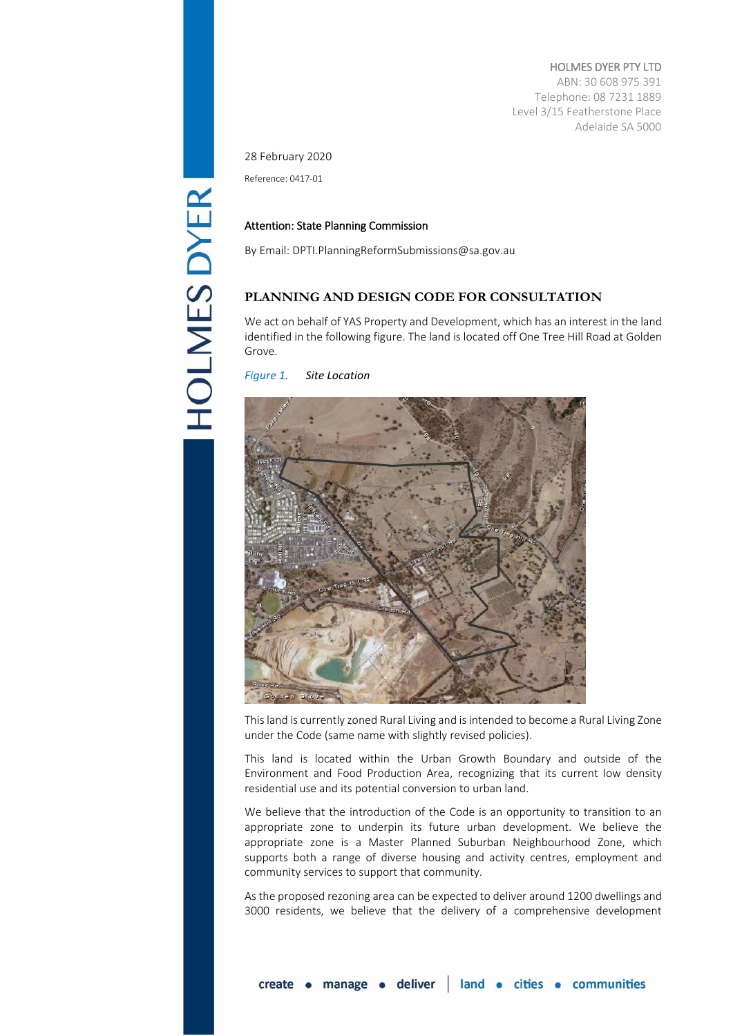HOLMES DYER PTY LTD ABN: 30 608 975 391 Telephone: 08 7231 1889 Level 3/15 Featherstone Place Adelaide SA 5000

28 February 2020

Reference: 0417-01

## Attention: State Planning Commission

By Email[: DPTI.PlanningReformSubmissions@sa.gov.au](mailto:DPTI.planningreformsubmissions@sa.gov.au) 

## **PLANNING AND DESIGN CODE FOR CONSULTATION**

We act on behalf of YAS Property and Development, which has an interest in the land identified in the following figure. The land is located off One Tree Hill Road at Golden Grove.

*Figure 1. Site Location*



This land is currently zoned Rural Living and is intended to become a Rural Living Zone under the Code (same name with slightly revised policies).

This land is located within the Urban Growth Boundary and outside of the Environment and Food Production Area, recognizing that its current low density residential use and its potential conversion to urban land.

We believe that the introduction of the Code is an opportunity to transition to an appropriate zone to underpin its future urban development. We believe the appropriate zone is a Master Planned Suburban Neighbourhood Zone, which supports both a range of diverse housing and activity centres, employment and community services to support that community.

As the proposed rezoning area can be expected to deliver around 1200 dwellings and 3000 residents, we believe that the delivery of a comprehensive development

**HOLMES DYER**